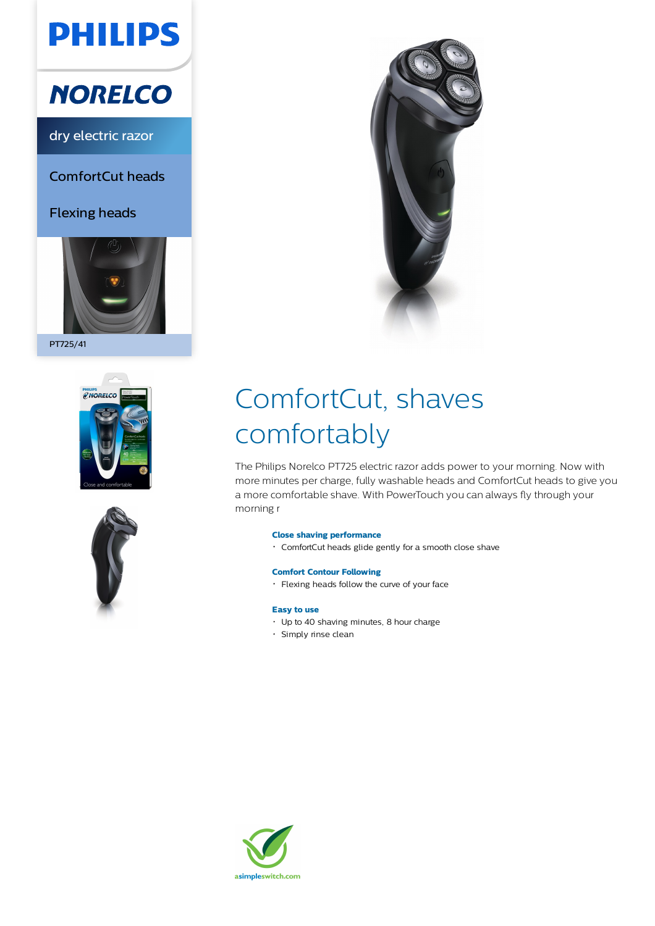# **PHILIPS**

## **NORELCO**

dry electric razor

ComfortCut heads

Flexing heads



PT725/41







# ComfortCut, shaves comfortably

The Philips Norelco PT725 electric razor adds power to your morning. Now with more minutes per charge, fully washable heads and ComfortCut heads to give you a more comfortable shave. With PowerTouch you can always fly through your morning r

### **Close shaving performance**

ComfortCut heads glide gently for a smooth close shave

### **Comfort Contour Following**

Flexing heads follow the curve of your face

### **Easy to use**

- Up to 40 shaving minutes, 8 hour charge
- · Simply rinse clean